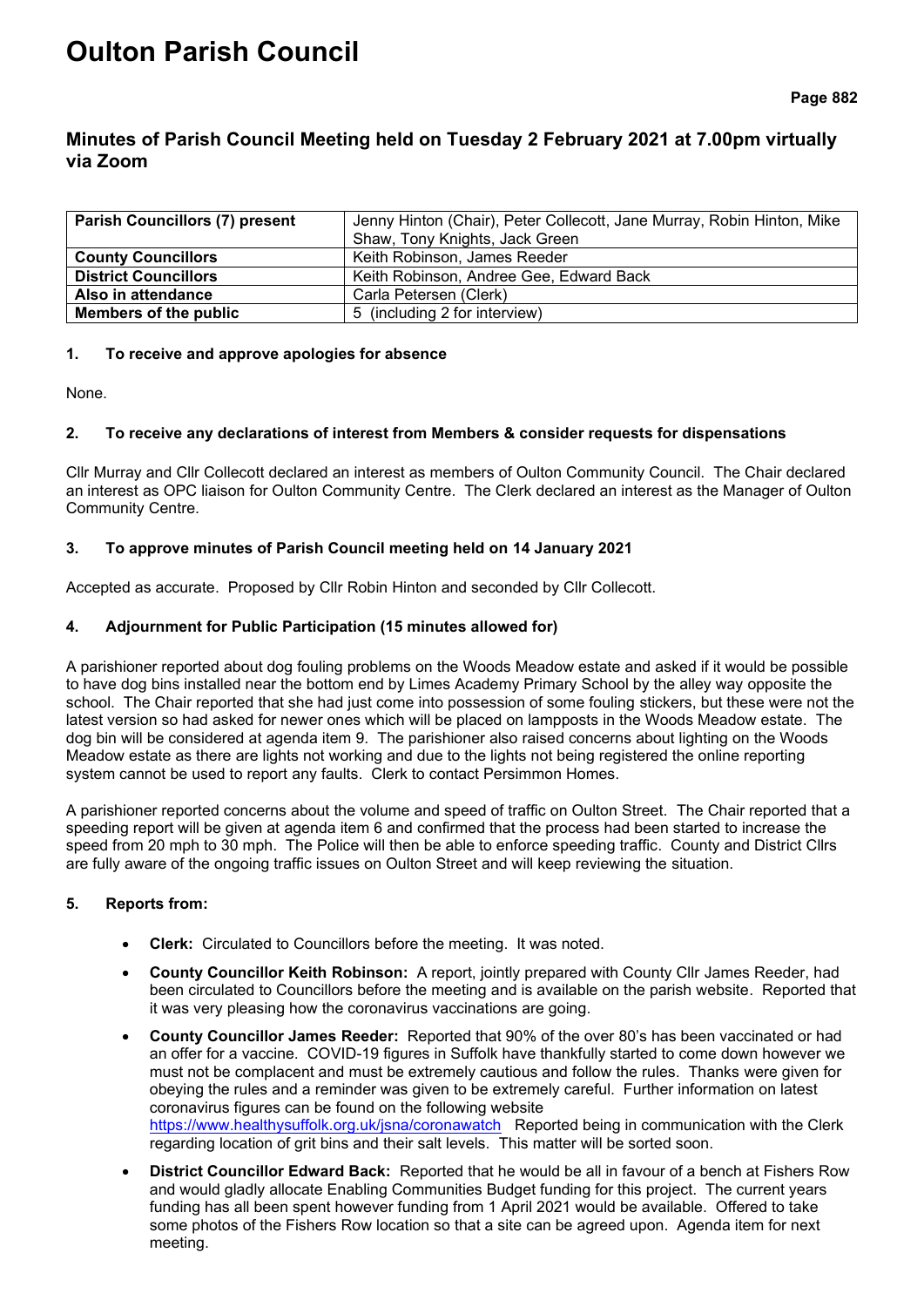# **Oulton Parish Council**

## **Minutes of Parish Council Meeting held on Tuesday 2 February 2021 at 7.00pm virtually via Zoom**

| <b>Parish Councillors (7) present</b> | Jenny Hinton (Chair), Peter Collecott, Jane Murray, Robin Hinton, Mike |  |
|---------------------------------------|------------------------------------------------------------------------|--|
|                                       | Shaw, Tony Knights, Jack Green                                         |  |
| <b>County Councillors</b>             | Keith Robinson, James Reeder                                           |  |
| <b>District Councillors</b>           | Keith Robinson, Andree Gee, Edward Back                                |  |
| Also in attendance                    | Carla Petersen (Clerk)                                                 |  |
| Members of the public                 | 5 (including 2 for interview)                                          |  |

#### **1. To receive and approve apologies for absence**

None.

## **2. To receive any declarations of interest from Members & consider requests for dispensations**

Cllr Murray and Cllr Collecott declared an interest as members of Oulton Community Council. The Chair declared an interest as OPC liaison for Oulton Community Centre. The Clerk declared an interest as the Manager of Oulton Community Centre.

#### **3. To approve minutes of Parish Council meeting held on 14 January 2021**

Accepted as accurate. Proposed by Cllr Robin Hinton and seconded by Cllr Collecott.

#### **4. Adjournment for Public Participation (15 minutes allowed for)**

A parishioner reported about dog fouling problems on the Woods Meadow estate and asked if it would be possible to have dog bins installed near the bottom end by Limes Academy Primary School by the alley way opposite the school. The Chair reported that she had just come into possession of some fouling stickers, but these were not the latest version so had asked for newer ones which will be placed on lampposts in the Woods Meadow estate. The dog bin will be considered at agenda item 9. The parishioner also raised concerns about lighting on the Woods Meadow estate as there are lights not working and due to the lights not being registered the online reporting system cannot be used to report any faults. Clerk to contact Persimmon Homes.

A parishioner reported concerns about the volume and speed of traffic on Oulton Street. The Chair reported that a speeding report will be given at agenda item 6 and confirmed that the process had been started to increase the speed from 20 mph to 30 mph. The Police will then be able to enforce speeding traffic. County and District Cllrs are fully aware of the ongoing traffic issues on Oulton Street and will keep reviewing the situation.

## **5. Reports from:**

- **Clerk:** Circulated to Councillors before the meeting. It was noted.
- **County Councillor Keith Robinson:** A report, jointly prepared with County Cllr James Reeder, had been circulated to Councillors before the meeting and is available on the parish website. Reported that it was very pleasing how the coronavirus vaccinations are going.
- **County Councillor James Reeder:** Reported that 90% of the over 80's has been vaccinated or had an offer for a vaccine. COVID-19 figures in Suffolk have thankfully started to come down however we must not be complacent and must be extremely cautious and follow the rules. Thanks were given for obeying the rules and a reminder was given to be extremely careful. Further information on latest coronavirus figures can be found on the following website <https://www.healthysuffolk.org.uk/jsna/coronawatch> Reported being in communication with the Clerk regarding location of grit bins and their salt levels. This matter will be sorted soon.
- **District Councillor Edward Back:** Reported that he would be all in favour of a bench at Fishers Row and would gladly allocate Enabling Communities Budget funding for this project. The current years funding has all been spent however funding from 1 April 2021 would be available. Offered to take some photos of the Fishers Row location so that a site can be agreed upon. Agenda item for next meeting.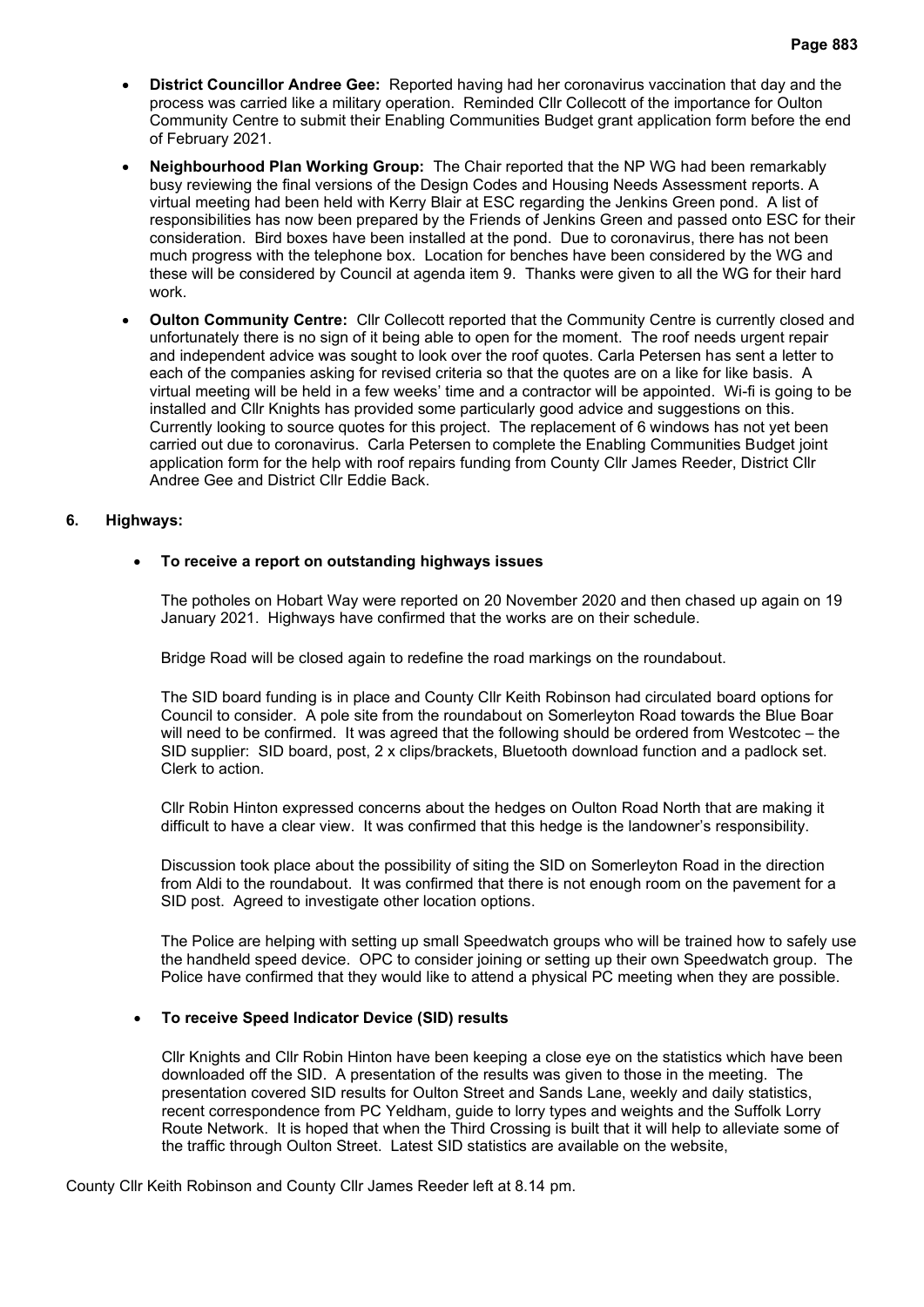- **District Councillor Andree Gee:** Reported having had her coronavirus vaccination that day and the process was carried like a military operation. Reminded Cllr Collecott of the importance for Oulton Community Centre to submit their Enabling Communities Budget grant application form before the end of February 2021.
- **Neighbourhood Plan Working Group:** The Chair reported that the NP WG had been remarkably busy reviewing the final versions of the Design Codes and Housing Needs Assessment reports. A virtual meeting had been held with Kerry Blair at ESC regarding the Jenkins Green pond. A list of responsibilities has now been prepared by the Friends of Jenkins Green and passed onto ESC for their consideration. Bird boxes have been installed at the pond. Due to coronavirus, there has not been much progress with the telephone box. Location for benches have been considered by the WG and these will be considered by Council at agenda item 9. Thanks were given to all the WG for their hard work.
- **Oulton Community Centre:** Cllr Collecott reported that the Community Centre is currently closed and unfortunately there is no sign of it being able to open for the moment. The roof needs urgent repair and independent advice was sought to look over the roof quotes. Carla Petersen has sent a letter to each of the companies asking for revised criteria so that the quotes are on a like for like basis. A virtual meeting will be held in a few weeks' time and a contractor will be appointed. Wi-fi is going to be installed and Cllr Knights has provided some particularly good advice and suggestions on this. Currently looking to source quotes for this project. The replacement of 6 windows has not yet been carried out due to coronavirus. Carla Petersen to complete the Enabling Communities Budget joint application form for the help with roof repairs funding from County Cllr James Reeder, District Cllr Andree Gee and District Cllr Eddie Back.

#### **6. Highways:**

#### • **To receive a report on outstanding highways issues**

The potholes on Hobart Way were reported on 20 November 2020 and then chased up again on 19 January 2021. Highways have confirmed that the works are on their schedule.

Bridge Road will be closed again to redefine the road markings on the roundabout.

The SID board funding is in place and County Cllr Keith Robinson had circulated board options for Council to consider. A pole site from the roundabout on Somerleyton Road towards the Blue Boar will need to be confirmed. It was agreed that the following should be ordered from Westcotec – the SID supplier: SID board, post, 2 x clips/brackets, Bluetooth download function and a padlock set. Clerk to action.

Cllr Robin Hinton expressed concerns about the hedges on Oulton Road North that are making it difficult to have a clear view. It was confirmed that this hedge is the landowner's responsibility.

Discussion took place about the possibility of siting the SID on Somerleyton Road in the direction from Aldi to the roundabout. It was confirmed that there is not enough room on the pavement for a SID post. Agreed to investigate other location options.

The Police are helping with setting up small Speedwatch groups who will be trained how to safely use the handheld speed device. OPC to consider joining or setting up their own Speedwatch group. The Police have confirmed that they would like to attend a physical PC meeting when they are possible.

#### • **To receive Speed Indicator Device (SID) results**

Cllr Knights and Cllr Robin Hinton have been keeping a close eye on the statistics which have been downloaded off the SID. A presentation of the results was given to those in the meeting. The presentation covered SID results for Oulton Street and Sands Lane, weekly and daily statistics, recent correspondence from PC Yeldham, guide to lorry types and weights and the Suffolk Lorry Route Network. It is hoped that when the Third Crossing is built that it will help to alleviate some of the traffic through Oulton Street. Latest SID statistics are available on the website,

County Cllr Keith Robinson and County Cllr James Reeder left at 8.14 pm.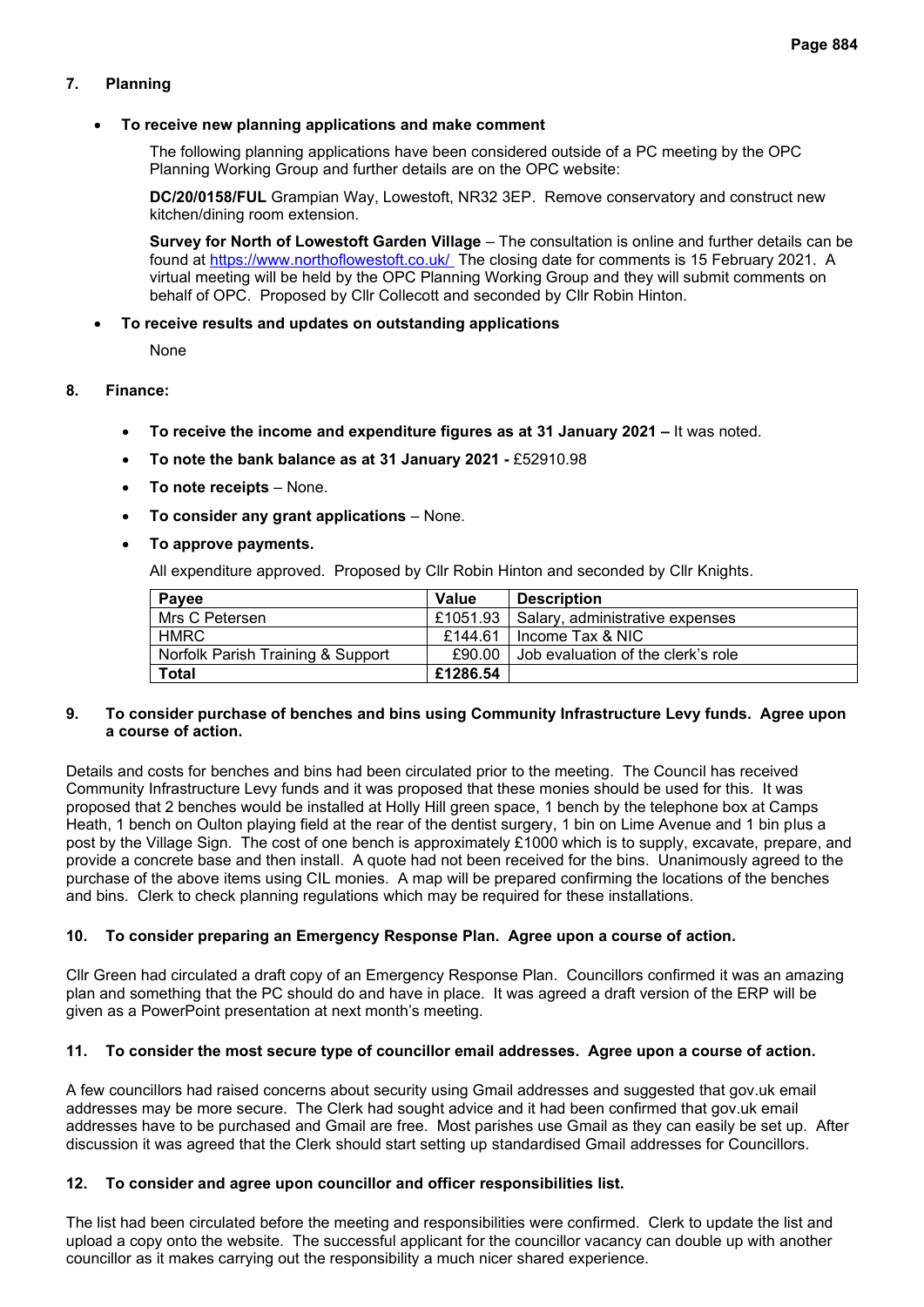## **7. Planning**

#### • **To receive new planning applications and make comment**

The following planning applications have been considered outside of a PC meeting by the OPC Planning Working Group and further details are on the OPC website:

**DC/20/0158/FUL** Grampian Way, Lowestoft, NR32 3EP. Remove conservatory and construct new kitchen/dining room extension.

**Survey for North of Lowestoft Garden Village** – The consultation is online and further details can be found at<https://www.northoflowestoft.co.uk/>The closing date for comments is 15 February 2021. A virtual meeting will be held by the OPC Planning Working Group and they will submit comments on behalf of OPC. Proposed by Cllr Collecott and seconded by Cllr Robin Hinton.

#### • **To receive results and updates on outstanding applications**

None

## **8. Finance:**

- **To receive the income and expenditure figures as at 31 January 2021 –** It was noted.
- **To note the bank balance as at 31 January 2021 -** £52910.98
- **To note receipts** None.
- **To consider any grant applications** None.

#### • **To approve payments.**

All expenditure approved. Proposed by Cllr Robin Hinton and seconded by Cllr Knights.

| Payee                             | Value    | <b>Description</b>                         |
|-----------------------------------|----------|--------------------------------------------|
| Mrs C Petersen                    |          | £1051.93   Salary, administrative expenses |
| HMRC                              |          | £144.61   Income Tax & NIC                 |
| Norfolk Parish Training & Support | £90.00   | Job evaluation of the clerk's role         |
| <b>Total</b>                      | £1286.54 |                                            |

#### **9. To consider purchase of benches and bins using Community Infrastructure Levy funds. Agree upon a course of action.**

Details and costs for benches and bins had been circulated prior to the meeting. The Council has received Community Infrastructure Levy funds and it was proposed that these monies should be used for this. It was proposed that 2 benches would be installed at Holly Hill green space, 1 bench by the telephone box at Camps Heath, 1 bench on Oulton playing field at the rear of the dentist surgery, 1 bin on Lime Avenue and 1 bin plus a post by the Village Sign. The cost of one bench is approximately £1000 which is to supply, excavate, prepare, and provide a concrete base and then install. A quote had not been received for the bins. Unanimously agreed to the purchase of the above items using CIL monies. A map will be prepared confirming the locations of the benches and bins. Clerk to check planning regulations which may be required for these installations.

#### **10. To consider preparing an Emergency Response Plan. Agree upon a course of action.**

Cllr Green had circulated a draft copy of an Emergency Response Plan. Councillors confirmed it was an amazing plan and something that the PC should do and have in place. It was agreed a draft version of the ERP will be given as a PowerPoint presentation at next month's meeting.

#### **11. To consider the most secure type of councillor email addresses. Agree upon a course of action.**

A few councillors had raised concerns about security using Gmail addresses and suggested that gov.uk email addresses may be more secure. The Clerk had sought advice and it had been confirmed that gov.uk email addresses have to be purchased and Gmail are free. Most parishes use Gmail as they can easily be set up. After discussion it was agreed that the Clerk should start setting up standardised Gmail addresses for Councillors.

#### **12. To consider and agree upon councillor and officer responsibilities list.**

The list had been circulated before the meeting and responsibilities were confirmed. Clerk to update the list and upload a copy onto the website. The successful applicant for the councillor vacancy can double up with another councillor as it makes carrying out the responsibility a much nicer shared experience.